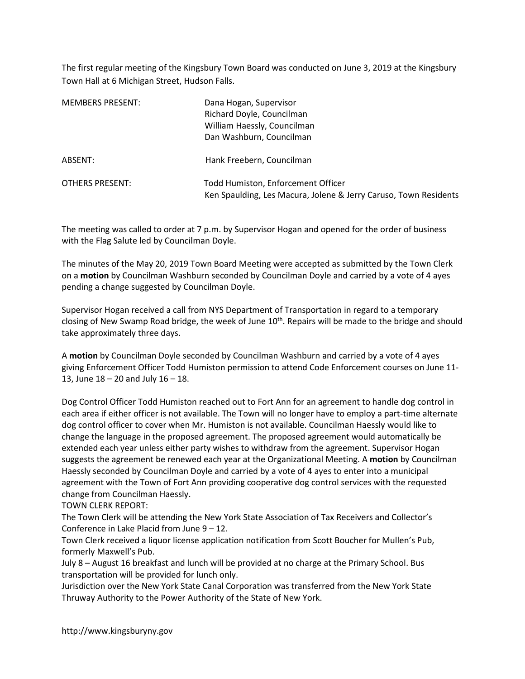The first regular meeting of the Kingsbury Town Board was conducted on June 3, 2019 at the Kingsbury Town Hall at 6 Michigan Street, Hudson Falls.

| <b>MEMBERS PRESENT:</b> | Dana Hogan, Supervisor<br>Richard Doyle, Councilman<br>William Haessly, Councilman<br>Dan Washburn, Councilman |
|-------------------------|----------------------------------------------------------------------------------------------------------------|
| ABSENT:                 | Hank Freebern, Councilman                                                                                      |
| OTHERS PRESENT:         | Todd Humiston, Enforcement Officer<br>Ken Spaulding, Les Macura, Jolene & Jerry Caruso, Town Residents         |

The meeting was called to order at 7 p.m. by Supervisor Hogan and opened for the order of business with the Flag Salute led by Councilman Doyle.

The minutes of the May 20, 2019 Town Board Meeting were accepted as submitted by the Town Clerk on a motion by Councilman Washburn seconded by Councilman Doyle and carried by a vote of 4 ayes pending a change suggested by Councilman Doyle.

Supervisor Hogan received a call from NYS Department of Transportation in regard to a temporary closing of New Swamp Road bridge, the week of June 10<sup>th</sup>. Repairs will be made to the bridge and should take approximately three days.

A motion by Councilman Doyle seconded by Councilman Washburn and carried by a vote of 4 ayes giving Enforcement Officer Todd Humiston permission to attend Code Enforcement courses on June 11- 13, June 18 – 20 and July 16 – 18.

Dog Control Officer Todd Humiston reached out to Fort Ann for an agreement to handle dog control in each area if either officer is not available. The Town will no longer have to employ a part-time alternate dog control officer to cover when Mr. Humiston is not available. Councilman Haessly would like to change the language in the proposed agreement. The proposed agreement would automatically be extended each year unless either party wishes to withdraw from the agreement. Supervisor Hogan suggests the agreement be renewed each year at the Organizational Meeting. A motion by Councilman Haessly seconded by Councilman Doyle and carried by a vote of 4 ayes to enter into a municipal agreement with the Town of Fort Ann providing cooperative dog control services with the requested change from Councilman Haessly.

TOWN CLERK REPORT:

The Town Clerk will be attending the New York State Association of Tax Receivers and Collector's Conference in Lake Placid from June 9 – 12.

Town Clerk received a liquor license application notification from Scott Boucher for Mullen's Pub, formerly Maxwell's Pub.

July 8 – August 16 breakfast and lunch will be provided at no charge at the Primary School. Bus transportation will be provided for lunch only.

Jurisdiction over the New York State Canal Corporation was transferred from the New York State Thruway Authority to the Power Authority of the State of New York.